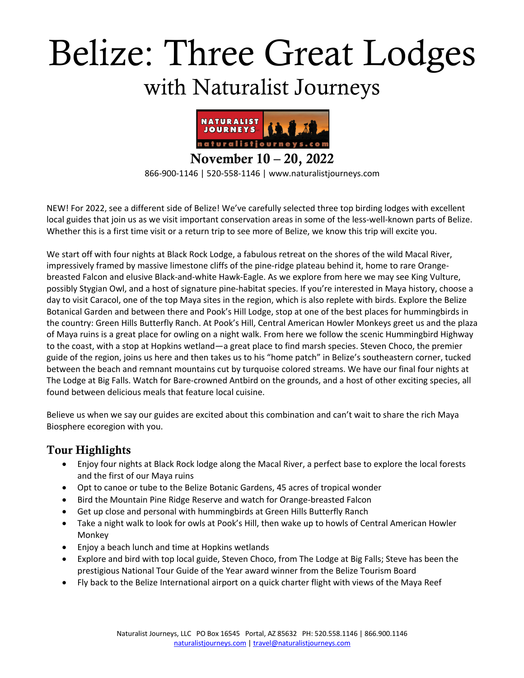# Belize: Three Great Lodges with Naturalist Journeys



866-900-1146 | 520-558-1146 | www.naturalistjourneys.com

NEW! For 2022, see a different side of Belize! We've carefully selected three top birding lodges with excellent local guides that join us as we visit important conservation areas in some of the less-well-known parts of Belize. Whether this is a first time visit or a return trip to see more of Belize, we know this trip will excite you.

We start off with four nights at Black Rock Lodge, a fabulous retreat on the shores of the wild Macal River, impressively framed by massive limestone cliffs of the pine-ridge plateau behind it, home to rare Orangebreasted Falcon and elusive Black-and-white Hawk-Eagle. As we explore from here we may see King Vulture, possibly Stygian Owl, and a host of signature pine-habitat species. If you're interested in Maya history, choose a day to visit Caracol, one of the top Maya sites in the region, which is also replete with birds. Explore the Belize Botanical Garden and between there and Pook's Hill Lodge, stop at one of the best places for hummingbirds in the country: Green Hills Butterfly Ranch. At Pook's Hill, Central American Howler Monkeys greet us and the plaza of Maya ruins is a great place for owling on a night walk. From here we follow the scenic Hummingbird Highway to the coast, with a stop at Hopkins wetland—a great place to find marsh species. Steven Choco, the premier guide of the region, joins us here and then takes us to his "home patch" in Belize's southeastern corner, tucked between the beach and remnant mountains cut by turquoise colored streams. We have our final four nights at The Lodge at Big Falls. Watch for Bare-crowned Antbird on the grounds, and a host of other exciting species, all found between delicious meals that feature local cuisine.

Believe us when we say our guides are excited about this combination and can't wait to share the rich Maya Biosphere ecoregion with you.

#### Tour Highlights

- Enjoy four nights at Black Rock lodge along the Macal River, a perfect base to explore the local forests and the first of our Maya ruins
- Opt to canoe or tube to the Belize Botanic Gardens, 45 acres of tropical wonder
- Bird the Mountain Pine Ridge Reserve and watch for Orange-breasted Falcon
- Get up close and personal with hummingbirds at Green Hills Butterfly Ranch
- Take a night walk to look for owls at Pook's Hill, then wake up to howls of Central American Howler Monkey
- Enjoy a beach lunch and time at Hopkins wetlands
- Explore and bird with top local guide, Steven Choco, from The Lodge at Big Falls; Steve has been the prestigious National Tour Guide of the Year award winner from the Belize Tourism Board
- Fly back to the Belize International airport on a quick charter flight with views of the Maya Reef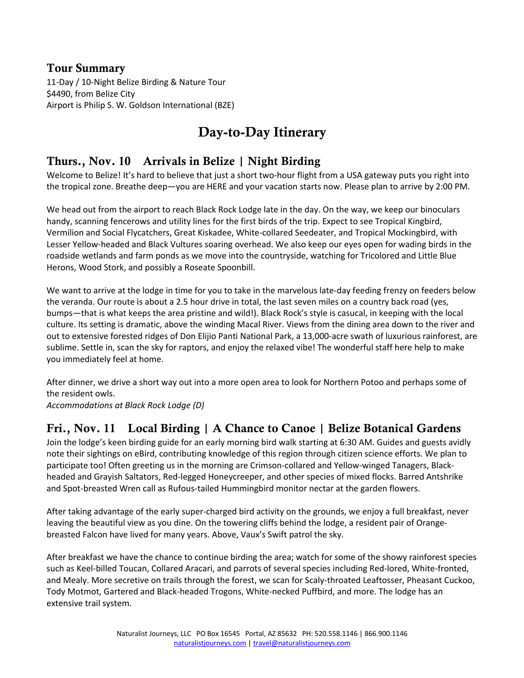#### Tour Summary

11-Day / 10-Night Belize Birding & Nature Tour \$4490, from Belize City Airport is Philip S. W. Goldson International (BZE)

# Day-to-Day Itinerary

#### Thurs., Nov. 10 Arrivals in Belize | Night Birding

Welcome to Belize! It's hard to believe that just a short two-hour flight from a USA gateway puts you right into the tropical zone. Breathe deep—you are HERE and your vacation starts now. Please plan to arrive by 2:00 PM.

We head out from the airport to reach Black Rock Lodge late in the day. On the way, we keep our binoculars handy, scanning fencerows and utility lines for the first birds of the trip. Expect to see Tropical Kingbird, Vermilion and Social Flycatchers, Great Kiskadee, White-collared Seedeater, and Tropical Mockingbird, with Lesser Yellow-headed and Black Vultures soaring overhead. We also keep our eyes open for wading birds in the roadside wetlands and farm ponds as we move into the countryside, watching for Tricolored and Little Blue Herons, Wood Stork, and possibly a Roseate Spoonbill.

We want to arrive at the lodge in time for you to take in the marvelous late-day feeding frenzy on feeders below the veranda. Our route is about a 2.5 hour drive in total, the last seven miles on a country back road (yes, bumps—that is what keeps the area pristine and wild!). Black Rock's style is casucal, in keeping with the local culture. Its setting is dramatic, above the winding Macal River. Views from the dining area down to the river and out to extensive forested ridges of Don Elijio Panti National Park, a 13,000-acre swath of luxurious rainforest, are sublime. Settle in, scan the sky for raptors, and enjoy the relaxed vibe! The wonderful staff here help to make you immediately feel at home.

After dinner, we drive a short way out into a more open area to look for Northern Potoo and perhaps some of the resident owls.

*Accommodations at Black Rock Lodge (D)*

### Fri., Nov. 11 Local Birding | A Chance to Canoe | Belize Botanical Gardens

Join the lodge's keen birding guide for an early morning bird walk starting at 6:30 AM. Guides and guests avidly note their sightings on eBird, contributing knowledge of this region through citizen science efforts. We plan to participate too! Often greeting us in the morning are Crimson-collared and Yellow-winged Tanagers, Blackheaded and Grayish Saltators, Red-legged Honeycreeper, and other species of mixed flocks. Barred Antshrike and Spot-breasted Wren call as Rufous-tailed Hummingbird monitor nectar at the garden flowers.

After taking advantage of the early super-charged bird activity on the grounds, we enjoy a full breakfast, never leaving the beautiful view as you dine. On the towering cliffs behind the lodge, a resident pair of Orangebreasted Falcon have lived for many years. Above, Vaux's Swift patrol the sky.

After breakfast we have the chance to continue birding the area; watch for some of the showy rainforest species such as Keel-billed Toucan, Collared Aracari, and parrots of several species including Red-lored, White-fronted, and Mealy. More secretive on trails through the forest, we scan for Scaly-throated Leaftosser, Pheasant Cuckoo, Tody Motmot, Gartered and Black-headed Trogons, White-necked Puffbird, and more. The lodge has an extensive trail system.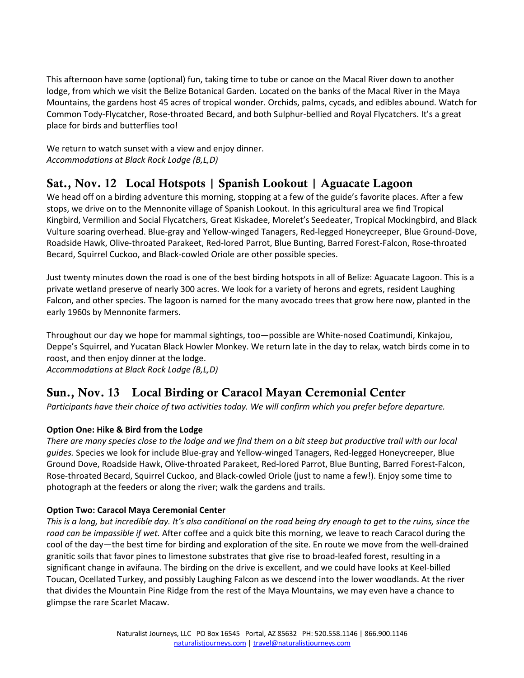This afternoon have some (optional) fun, taking time to tube or canoe on the Macal River down to another lodge, from which we visit the Belize Botanical Garden. Located on the banks of the Macal River in the Maya Mountains, the gardens host 45 acres of tropical wonder. Orchids, palms, cycads, and edibles abound. Watch for Common Tody-Flycatcher, Rose-throated Becard, and both Sulphur-bellied and Royal Flycatchers. It's a great place for birds and butterflies too!

We return to watch sunset with a view and enjoy dinner. *Accommodations at Black Rock Lodge (B,L,D)*

# Sat., Nov. 12 Local Hotspots | Spanish Lookout | Aguacate Lagoon

We head off on a birding adventure this morning, stopping at a few of the guide's favorite places. After a few stops, we drive on to the Mennonite village of Spanish Lookout. In this agricultural area we find Tropical Kingbird, Vermilion and Social Flycatchers, Great Kiskadee, Morelet's Seedeater, Tropical Mockingbird, and Black Vulture soaring overhead. Blue-gray and Yellow-winged Tanagers, Red-legged Honeycreeper, Blue Ground-Dove, Roadside Hawk, Olive-throated Parakeet, Red-lored Parrot, Blue Bunting, Barred Forest-Falcon, Rose-throated Becard, Squirrel Cuckoo, and Black-cowled Oriole are other possible species.

Just twenty minutes down the road is one of the best birding hotspots in all of Belize: Aguacate Lagoon. This is a private wetland preserve of nearly 300 acres. We look for a variety of herons and egrets, resident Laughing Falcon, and other species. The lagoon is named for the many avocado trees that grow here now, planted in the early 1960s by Mennonite farmers.

Throughout our day we hope for mammal sightings, too—possible are White-nosed Coatimundi, Kinkajou, Deppe's Squirrel, and Yucatan Black Howler Monkey. We return late in the day to relax, watch birds come in to roost, and then enjoy dinner at the lodge. *Accommodations at Black Rock Lodge (B,L,D)*

# Sun., Nov. 13 Local Birding or Caracol Mayan Ceremonial Center

*Participants have their choice of two activities today. We will confirm which you prefer before departure.*

#### **Option One: Hike & Bird from the Lodge**

*There are many species close to the lodge and we find them on a bit steep but productive trail with our local guides.* Species we look for include Blue-gray and Yellow-winged Tanagers, Red-legged Honeycreeper, Blue Ground Dove, Roadside Hawk, Olive-throated Parakeet, Red-lored Parrot, Blue Bunting, Barred Forest-Falcon, Rose-throated Becard, Squirrel Cuckoo, and Black-cowled Oriole (just to name a few!). Enjoy some time to photograph at the feeders or along the river; walk the gardens and trails.

#### **Option Two: Caracol Maya Ceremonial Center**

*This is a long, but incredible day. It's also conditional on the road being dry enough to get to the ruins, since the road can be impassible if wet.* After coffee and a quick bite this morning, we leave to reach Caracol during the cool of the day—the best time for birding and exploration of the site. En route we move from the well-drained granitic soils that favor pines to limestone substrates that give rise to broad-leafed forest, resulting in a significant change in avifauna. The birding on the drive is excellent, and we could have looks at Keel-billed Toucan, Ocellated Turkey, and possibly Laughing Falcon as we descend into the lower woodlands. At the river that divides the Mountain Pine Ridge from the rest of the Maya Mountains, we may even have a chance to glimpse the rare Scarlet Macaw.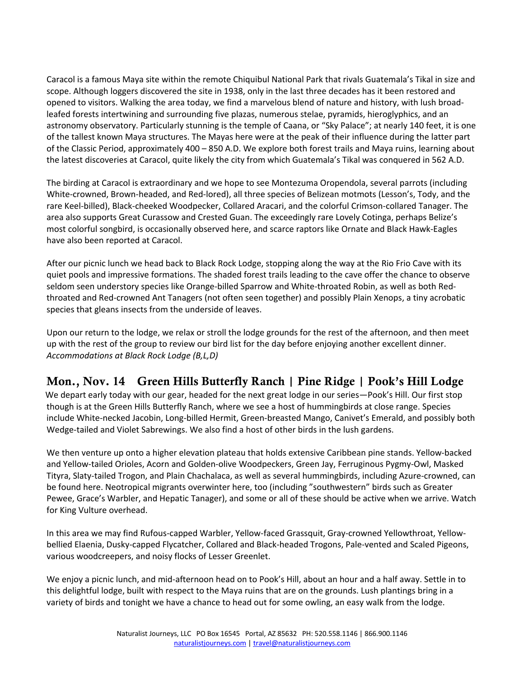Caracol is a famous Maya site within the remote Chiquibul National Park that rivals Guatemala's Tikal in size and scope. Although loggers discovered the site in 1938, only in the last three decades has it been restored and opened to visitors. Walking the area today, we find a marvelous blend of nature and history, with lush broadleafed forests intertwining and surrounding five plazas, numerous stelae, pyramids, hieroglyphics, and an astronomy observatory. Particularly stunning is the temple of Caana, or "Sky Palace"; at nearly 140 feet, it is one of the tallest known Maya structures. The Mayas here were at the peak of their influence during the latter part of the Classic Period, approximately 400 – 850 A.D. We explore both forest trails and Maya ruins, learning about the latest discoveries at Caracol, quite likely the city from which Guatemala's Tikal was conquered in 562 A.D.

The birding at Caracol is extraordinary and we hope to see Montezuma Oropendola, several parrots (including White-crowned, Brown-headed, and Red-lored), all three species of Belizean motmots (Lesson's, Tody, and the rare Keel-billed), Black-cheeked Woodpecker, Collared Aracari, and the colorful Crimson-collared Tanager. The area also supports Great Curassow and Crested Guan. The exceedingly rare Lovely Cotinga, perhaps Belize's most colorful songbird, is occasionally observed here, and scarce raptors like Ornate and Black Hawk-Eagles have also been reported at Caracol.

After our picnic lunch we head back to Black Rock Lodge, stopping along the way at the Rio Frio Cave with its quiet pools and impressive formations. The shaded forest trails leading to the cave offer the chance to observe seldom seen understory species like Orange-billed Sparrow and White-throated Robin, as well as both Redthroated and Red-crowned Ant Tanagers (not often seen together) and possibly Plain Xenops, a tiny acrobatic species that gleans insects from the underside of leaves.

Upon our return to the lodge, we relax or stroll the lodge grounds for the rest of the afternoon, and then meet up with the rest of the group to review our bird list for the day before enjoying another excellent dinner. *Accommodations at Black Rock Lodge (B,L,D)*

# Mon., Nov. 14 Green Hills Butterfly Ranch | Pine Ridge | Pook's Hill Lodge

 We depart early today with our gear, headed for the next great lodge in our series—Pook's Hill. Our first stop though is at the Green Hills Butterfly Ranch, where we see a host of hummingbirds at close range. Species include White-necked Jacobin, Long-billed Hermit, Green-breasted Mango, Canivet's Emerald, and possibly both Wedge-tailed and Violet Sabrewings. We also find a host of other birds in the lush gardens.

We then venture up onto a higher elevation plateau that holds extensive Caribbean pine stands. Yellow-backed and Yellow-tailed Orioles, Acorn and Golden-olive Woodpeckers, Green Jay, Ferruginous Pygmy-Owl, Masked Tityra, Slaty-tailed Trogon, and Plain Chachalaca, as well as several hummingbirds, including Azure-crowned, can be found here. Neotropical migrants overwinter here, too (including "southwestern" birds such as Greater Pewee, Grace's Warbler, and Hepatic Tanager), and some or all of these should be active when we arrive. Watch for King Vulture overhead.

In this area we may find Rufous-capped Warbler, Yellow-faced Grassquit, Gray-crowned Yellowthroat, Yellowbellied Elaenia, Dusky-capped Flycatcher, Collared and Black-headed Trogons, Pale-vented and Scaled Pigeons, various woodcreepers, and noisy flocks of Lesser Greenlet.

We enjoy a picnic lunch, and mid-afternoon head on to Pook's Hill, about an hour and a half away. Settle in to this delightful lodge, built with respect to the Maya ruins that are on the grounds. Lush plantings bring in a variety of birds and tonight we have a chance to head out for some owling, an easy walk from the lodge.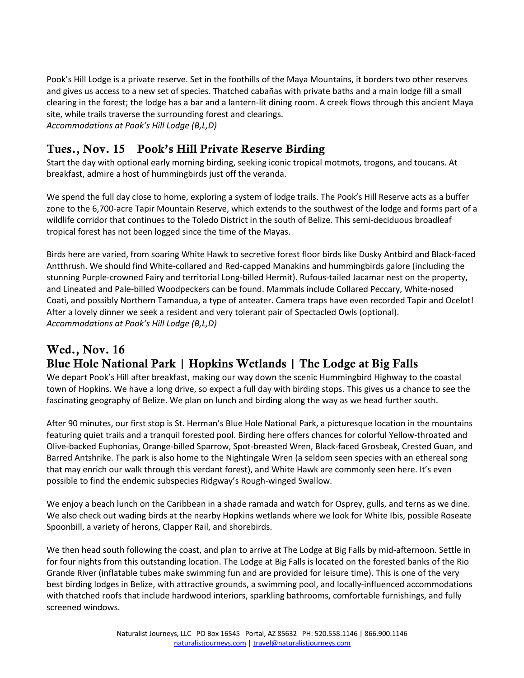Pook's Hill Lodge is a private reserve. Set in the foothills of the Maya Mountains, it borders two other reserves and gives us access to a new set of species. Thatched cabañas with private baths and a main lodge fill a small clearing in the forest; the lodge has a bar and a lantern-lit dining room. A creek flows through this ancient Maya site, while trails traverse the surrounding forest and clearings. *Accommodations at Pook's Hill Lodge (B,L,D)*

### Tues., Nov. 15 Pook's Hill Private Reserve Birding

Start the day with optional early morning birding, seeking iconic tropical motmots, trogons, and toucans. At breakfast, admire a host of hummingbirds just off the veranda.

We spend the full day close to home, exploring a system of lodge trails. The Pook's Hill Reserve acts as a buffer zone to the 6,700-acre Tapir Mountain Reserve, which extends to the southwest of the lodge and forms part of a wildlife corridor that continues to the Toledo District in the south of Belize. This semi-deciduous broadleaf tropical forest has not been logged since the time of the Mayas.

Birds here are varied, from soaring White Hawk to secretive forest floor birds like Dusky Antbird and Black-faced Antthrush. We should find White-collared and Red-capped Manakins and hummingbirds galore (including the stunning Purple-crowned Fairy and territorial Long-billed Hermit). Rufous-tailed Jacamar nest on the property, and Lineated and Pale-billed Woodpeckers can be found. Mammals include Collared Peccary, White-nosed Coati, and possibly Northern Tamandua, a type of anteater. Camera traps have even recorded Tapir and Ocelot! After a lovely dinner we seek a resident and very tolerant pair of Spectacled Owls (optional). *Accommodations at Pook's Hill Lodge (B,L,D)*

# Wed., Nov. 16 Blue Hole National Park | Hopkins Wetlands | The Lodge at Big Falls

We depart Pook's Hill after breakfast, making our way down the scenic Hummingbird Highway to the coastal town of Hopkins. We have a long drive, so expect a full day with birding stops. This gives us a chance to see the fascinating geography of Belize. We plan on lunch and birding along the way as we head further south.

After 90 minutes, our first stop is St. Herman's Blue Hole National Park, a picturesque location in the mountains featuring quiet trails and a tranquil forested pool. Birding here offers chances for colorful Yellow-throated and Olive-backed Euphonias, Orange-billed Sparrow, Spot-breasted Wren, Black-faced Grosbeak, Crested Guan, and Barred Antshrike. The park is also home to the Nightingale Wren (a seldom seen species with an ethereal song that may enrich our walk through this verdant forest), and White Hawk are commonly seen here. It's even possible to find the endemic subspecies Ridgway's Rough-winged Swallow.

We enjoy a beach lunch on the Caribbean in a shade ramada and watch for Osprey, gulls, and terns as we dine. We also check out wading birds at the nearby Hopkins wetlands where we look for White Ibis, possible Roseate Spoonbill, a variety of herons, Clapper Rail, and shorebirds.

We then head south following the coast, and plan to arrive at The Lodge at Big Falls by mid-afternoon. Settle in for four nights from this outstanding location. The Lodge at Big Falls is located on the forested banks of the Rio Grande River (inflatable tubes make swimming fun and are provided for leisure time). This is one of the very best birding lodges in Belize, with attractive grounds, a swimming pool, and locally-influenced accommodations with thatched roofs that include hardwood interiors, sparkling bathrooms, comfortable furnishings, and fully screened windows.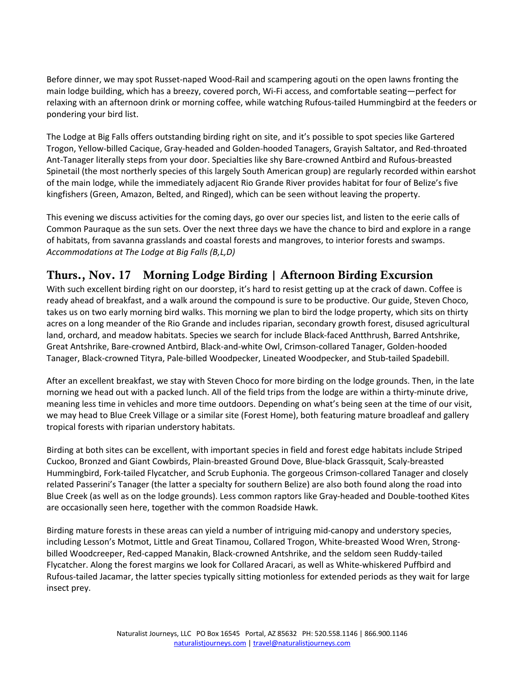Before dinner, we may spot Russet-naped Wood-Rail and scampering agouti on the open lawns fronting the main lodge building, which has a breezy, covered porch, Wi-Fi access, and comfortable seating—perfect for relaxing with an afternoon drink or morning coffee, while watching Rufous-tailed Hummingbird at the feeders or pondering your bird list.

The Lodge at Big Falls offers outstanding birding right on site, and it's possible to spot species like Gartered Trogon, Yellow-billed Cacique, Gray-headed and Golden-hooded Tanagers, Grayish Saltator, and Red-throated Ant-Tanager literally steps from your door. Specialties like shy Bare-crowned Antbird and Rufous-breasted Spinetail (the most northerly species of this largely South American group) are regularly recorded within earshot of the main lodge, while the immediately adjacent Rio Grande River provides habitat for four of Belize's five kingfishers (Green, Amazon, Belted, and Ringed), which can be seen without leaving the property.

This evening we discuss activities for the coming days, go over our species list, and listen to the eerie calls of Common Pauraque as the sun sets. Over the next three days we have the chance to bird and explore in a range of habitats, from savanna grasslands and coastal forests and mangroves, to interior forests and swamps. *Accommodations at The Lodge at Big Falls (B,L,D)*

# Thurs., Nov. 17 Morning Lodge Birding | Afternoon Birding Excursion

With such excellent birding right on our doorstep, it's hard to resist getting up at the crack of dawn. Coffee is ready ahead of breakfast, and a walk around the compound is sure to be productive. Our guide, Steven Choco, takes us on two early morning bird walks. This morning we plan to bird the lodge property, which sits on thirty acres on a long meander of the Rio Grande and includes riparian, secondary growth forest, disused agricultural land, orchard, and meadow habitats. Species we search for include Black-faced Antthrush, Barred Antshrike, Great Antshrike, Bare-crowned Antbird, Black-and-white Owl, Crimson-collared Tanager, Golden-hooded Tanager, Black-crowned Tityra, Pale-billed Woodpecker, Lineated Woodpecker, and Stub-tailed Spadebill.

After an excellent breakfast, we stay with Steven Choco for more birding on the lodge grounds. Then, in the late morning we head out with a packed lunch. All of the field trips from the lodge are within a thirty-minute drive, meaning less time in vehicles and more time outdoors. Depending on what's being seen at the time of our visit, we may head to Blue Creek Village or a similar site (Forest Home), both featuring mature broadleaf and gallery tropical forests with riparian understory habitats.

Birding at both sites can be excellent, with important species in field and forest edge habitats include Striped Cuckoo, Bronzed and Giant Cowbirds, Plain-breasted Ground Dove, Blue-black Grassquit, Scaly-breasted Hummingbird, Fork-tailed Flycatcher, and Scrub Euphonia. The gorgeous Crimson-collared Tanager and closely related Passerini's Tanager (the latter a specialty for southern Belize) are also both found along the road into Blue Creek (as well as on the lodge grounds). Less common raptors like Gray-headed and Double-toothed Kites are occasionally seen here, together with the common Roadside Hawk.

Birding mature forests in these areas can yield a number of intriguing mid-canopy and understory species, including Lesson's Motmot, Little and Great Tinamou, Collared Trogon, White-breasted Wood Wren, Strongbilled Woodcreeper, Red-capped Manakin, Black-crowned Antshrike, and the seldom seen Ruddy-tailed Flycatcher. Along the forest margins we look for Collared Aracari, as well as White-whiskered Puffbird and Rufous-tailed Jacamar, the latter species typically sitting motionless for extended periods as they wait for large insect prey.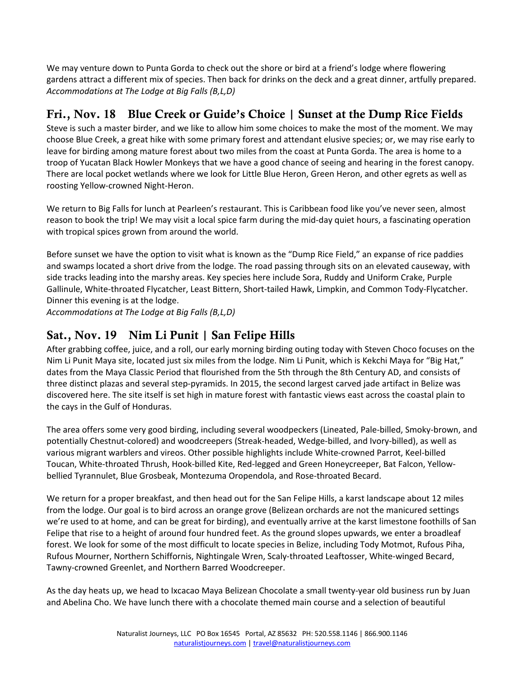We may venture down to Punta Gorda to check out the shore or bird at a friend's lodge where flowering gardens attract a different mix of species. Then back for drinks on the deck and a great dinner, artfully prepared. *Accommodations at The Lodge at Big Falls (B,L,D)*

# Fri., Nov. 18 Blue Creek or Guide's Choice | Sunset at the Dump Rice Fields

Steve is such a master birder, and we like to allow him some choices to make the most of the moment. We may choose Blue Creek, a great hike with some primary forest and attendant elusive species; or, we may rise early to leave for birding among mature forest about two miles from the coast at Punta Gorda. The area is home to a troop of Yucatan Black Howler Monkeys that we have a good chance of seeing and hearing in the forest canopy. There are local pocket wetlands where we look for Little Blue Heron, Green Heron, and other egrets as well as roosting Yellow-crowned Night-Heron.

We return to Big Falls for lunch at Pearleen's restaurant. This is Caribbean food like you've never seen, almost reason to book the trip! We may visit a local spice farm during the mid-day quiet hours, a fascinating operation with tropical spices grown from around the world.

Before sunset we have the option to visit what is known as the "Dump Rice Field," an expanse of rice paddies and swamps located a short drive from the lodge. The road passing through sits on an elevated causeway, with side tracks leading into the marshy areas. Key species here include Sora, Ruddy and Uniform Crake, Purple Gallinule, White-throated Flycatcher, Least Bittern, Short-tailed Hawk, Limpkin, and Common Tody-Flycatcher. Dinner this evening is at the lodge.

*Accommodations at The Lodge at Big Falls (B,L,D)*

### Sat., Nov. 19 Nim Li Punit | San Felipe Hills

After grabbing coffee, juice, and a roll, our early morning birding outing today with Steven Choco focuses on the Nim Li Punit Maya site, located just six miles from the lodge. Nim Li Punit, which is Kekchi Maya for "Big Hat," dates from the Maya Classic Period that flourished from the 5th through the 8th Century AD, and consists of three distinct plazas and several step-pyramids. In 2015, the second largest carved jade artifact in Belize was discovered here. The site itself is set high in mature forest with fantastic views east across the coastal plain to the cays in the Gulf of Honduras.

The area offers some very good birding, including several woodpeckers (Lineated, Pale-billed, Smoky-brown, and potentially Chestnut-colored) and woodcreepers (Streak-headed, Wedge-billed, and Ivory-billed), as well as various migrant warblers and vireos. Other possible highlights include White-crowned Parrot, Keel-billed Toucan, White-throated Thrush, Hook-billed Kite, Red-legged and Green Honeycreeper, Bat Falcon, Yellowbellied Tyrannulet, Blue Grosbeak, Montezuma Oropendola, and Rose-throated Becard.

We return for a proper breakfast, and then head out for the San Felipe Hills, a karst landscape about 12 miles from the lodge. Our goal is to bird across an orange grove (Belizean orchards are not the manicured settings we're used to at home, and can be great for birding), and eventually arrive at the karst limestone foothills of San Felipe that rise to a height of around four hundred feet. As the ground slopes upwards, we enter a broadleaf forest. We look for some of the most difficult to locate species in Belize, including Tody Motmot, Rufous Piha, Rufous Mourner, Northern Schiffornis, Nightingale Wren, Scaly-throated Leaftosser, White-winged Becard, Tawny-crowned Greenlet, and Northern Barred Woodcreeper.

As the day heats up, we head to Ixcacao Maya Belizean Chocolate a small twenty-year old business run by Juan and Abelina Cho. We have lunch there with a chocolate themed main course and a selection of beautiful